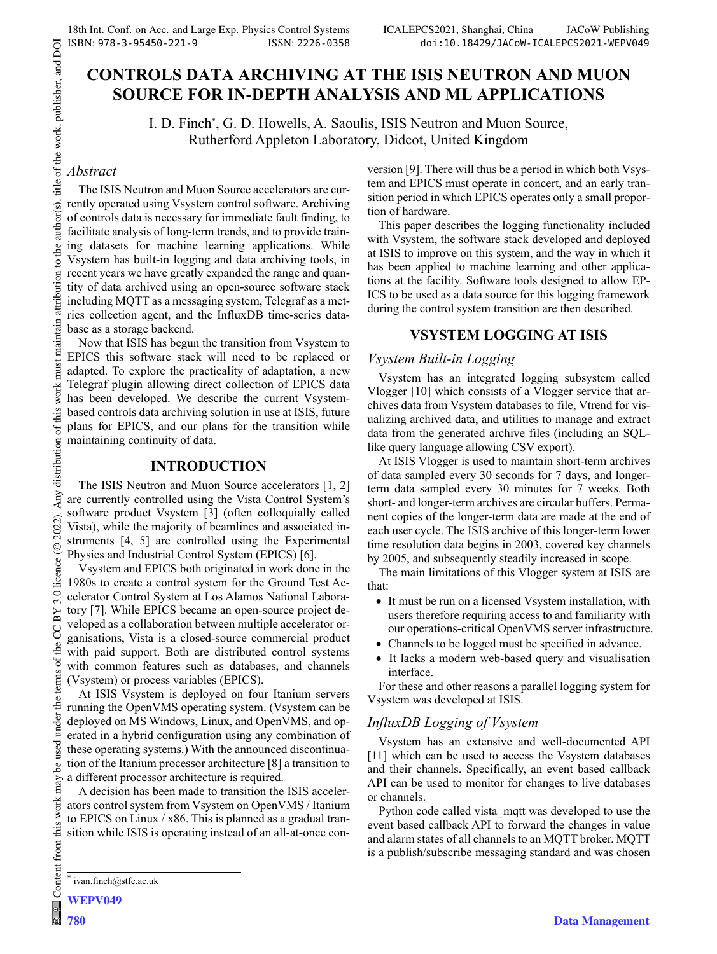# **CONTROLS DATA ARCHIVING AT THE ISIS NEUTRON AND MUON SOURCE FOR IN-DEPTH ANALYSIS AND ML APPLICATIONS**

I. D. Finch\* , G. D. Howells, A. Saoulis, ISIS Neutron and Muon Source, Rutherford Appleton Laboratory, Didcot, United Kingdom

## *Abstract*

of the work, publisher, and DOI

title

to the author(s).

attribution

maintain

must work 1

Any distribution of this

 $(© 2022).$ 

3.0 licence

of the CC BY

terms

under the

be used

 $\frac{1}{2}$ 

Content from this work

The ISIS Neutron and Muon Source accelerators are currently operated using Vsystem control software. Archiving of controls data is necessary for immediate fault finding, to facilitate analysis of long-term trends, and to provide training datasets for machine learning applications. While Vsystem has built-in logging and data archiving tools, in recent years we have greatly expanded the range and quantity of data archived using an open-source software stack including MQTT as a messaging system, Telegraf as a metrics collection agent, and the InfluxDB time-series database as a storage backend.

Now that ISIS has begun the transition from Vsystem to EPICS this software stack will need to be replaced or adapted. To explore the practicality of adaptation, a new Telegraf plugin allowing direct collection of EPICS data has been developed. We describe the current Vsystembased controls data archiving solution in use at ISIS, future plans for EPICS, and our plans for the transition while maintaining continuity of data.

### **INTRODUCTION**

The ISIS Neutron and Muon Source accelerators [1, 2] are currently controlled using the Vista Control System's software product Vsystem [3] (often colloquially called Vista), while the majority of beamlines and associated instruments [4, 5] are controlled using the Experimental Physics and Industrial Control System (EPICS) [6].

Vsystem and EPICS both originated in work done in the 1980s to create a control system for the Ground Test Accelerator Control System at Los Alamos National Laboratory [7]. While EPICS became an open-source project developed as a collaboration between multiple accelerator organisations, Vista is a closed-source commercial product with paid support. Both are distributed control systems with common features such as databases, and channels (Vsystem) or process variables (EPICS).

At ISIS Vsystem is deployed on four Itanium servers running the OpenVMS operating system. (Vsystem can be deployed on MS Windows, Linux, and OpenVMS, and operated in a hybrid configuration using any combination of these operating systems.) With the announced discontinuation of the Itanium processor architecture [8] a transition to a different processor architecture is required.

A decision has been made to transition the ISIS accelerators control system from Vsystem on OpenVMS / Itanium to EPICS on Linux  $/x86$ . This is planned as a gradual transition while ISIS is operating instead of an all-at-once conversion [9]. There will thus be a period in which both Vsystem and EPICS must operate in concert, and an early transition period in which EPICS operates only a small proportion of hardware.

This paper describes the logging functionality included with Vsystem, the software stack developed and deployed at ISIS to improve on this system, and the way in which it has been applied to machine learning and other applications at the facility. Software tools designed to allow EP-ICS to be used as a data source for this logging framework during the control system transition are then described.

## **VSYSTEM LOGGING AT ISIS**

### *Vsystem Built-in Logging*

Vsystem has an integrated logging subsystem called Vlogger [10] which consists of a Vlogger service that archives data from Vsystem databases to file, Vtrend for visualizing archived data, and utilities to manage and extract data from the generated archive files (including an SQLlike query language allowing CSV export).

At ISIS Vlogger is used to maintain short-term archives of data sampled every 30 seconds for 7 days, and longerterm data sampled every 30 minutes for 7 weeks. Both short- and longer-term archives are circular buffers. Permanent copies of the longer-term data are made at the end of each user cycle. The ISIS archive of this longer-term lower time resolution data begins in 2003, covered key channels by 2005, and subsequently steadily increased in scope.

The main limitations of this Vlogger system at ISIS are that:

- It must be run on a licensed Vsystem installation, with users therefore requiring access to and familiarity with our operations-critical OpenVMS server infrastructure.
- Channels to be logged must be specified in advance.
- It lacks a modern web-based query and visualisation interface.

For these and other reasons a parallel logging system for Vsystem was developed at ISIS.

## *InfluxDB Logging of Vsystem*

Vsystem has an extensive and well-documented API [11] which can be used to access the Vsystem databases and their channels. Specifically, an event based callback API can be used to monitor for changes to live databases or channels.

Python code called vista\_mqtt was developed to use the event based callback API to forward the changes in value and alarm states of all channels to an MQTT broker. MQTT is a publish/subscribe messaging standard and was chosen

<sup>\*</sup> ivan.finch@stfc.ac.uk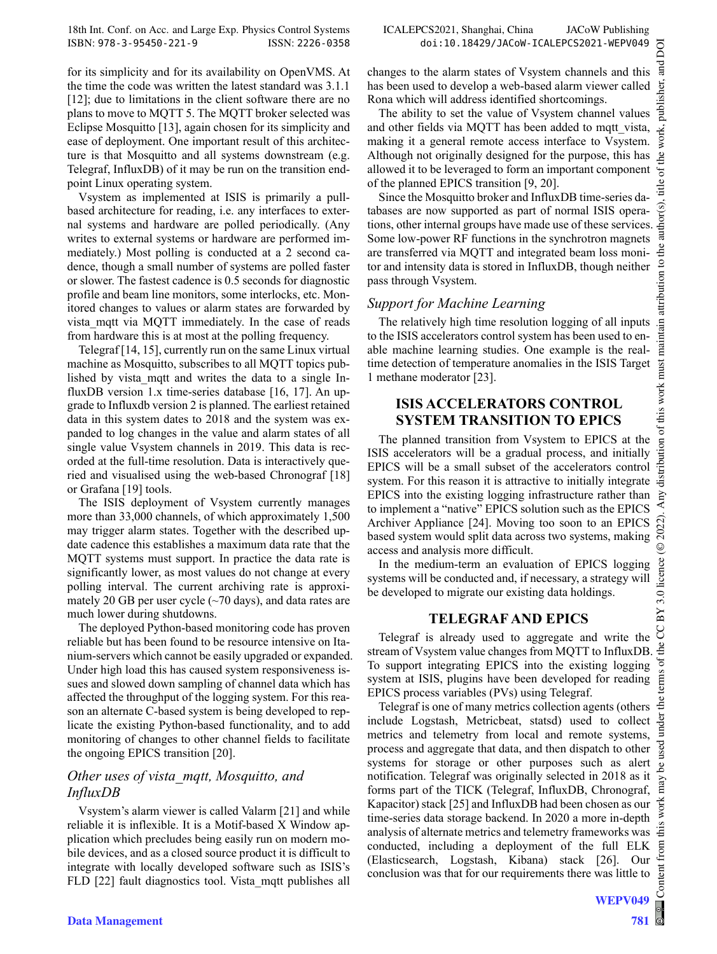ğ **Ta** ier, publish

work,

 $\mathcal{F}$  $\frac{1}{2}$ 

ಕ

maintain attribution to

tribution of this work must

 $\odot$ 

3.0 licence

 $BY$ 

5

for its simplicity and for its availability on OpenVMS. At the time the code was written the latest standard was 3.1.1 [12]; due to limitations in the client software there are no plans to move to MQTT 5. The MQTT broker selected was Eclipse Mosquitto [13], again chosen for its simplicity and ease of deployment. One important result of this architecture is that Mosquitto and all systems downstream (e.g. Telegraf, InfluxDB) of it may be run on the transition endpoint Linux operating system.

Vsystem as implemented at ISIS is primarily a pullbased architecture for reading, i.e. any interfaces to external systems and hardware are polled periodically. (Any writes to external systems or hardware are performed immediately.) Most polling is conducted at a 2 second cadence, though a small number of systems are polled faster or slower. The fastest cadence is 0.5 seconds for diagnostic profile and beam line monitors, some interlocks, etc. Monitored changes to values or alarm states are forwarded by vista mqtt via MQTT immediately. In the case of reads from hardware this is at most at the polling frequency.

Telegraf [14, 15], currently run on the same Linux virtual machine as Mosquitto, subscribes to all MQTT topics published by vista mqtt and writes the data to a single InfluxDB version 1.x time-series database [16, 17]. An upgrade to Influxdb version 2 is planned. The earliest retained data in this system dates to 2018 and the system was expanded to log changes in the value and alarm states of all single value Vsystem channels in 2019. This data is recorded at the full-time resolution. Data is interactively queried and visualised using the web-based Chronograf [18] or Grafana [19] tools.

The ISIS deployment of Vsystem currently manages more than 33,000 channels, of which approximately 1,500 may trigger alarm states. Together with the described update cadence this establishes a maximum data rate that the MQTT systems must support. In practice the data rate is significantly lower, as most values do not change at every polling interval. The current archiving rate is approximately 20 GB per user cycle (~70 days), and data rates are much lower during shutdowns.

The deployed Python-based monitoring code has proven reliable but has been found to be resource intensive on Itanium-servers which cannot be easily upgraded or expanded. Under high load this has caused system responsiveness issues and slowed down sampling of channel data which has affected the throughput of the logging system. For this reason an alternate C-based system is being developed to replicate the existing Python-based functionality, and to add monitoring of changes to other channel fields to facilitate the ongoing EPICS transition [20].

# *Other uses of vista\_mqtt, Mosquitto, and InfluxDB*

Vsystem's alarm viewer is called Valarm [21] and while reliable it is inflexible. It is a Motif-based X Window application which precludes being easily run on modern mobile devices, and as a closed source product it is difficult to integrate with locally developed software such as ISIS's FLD [22] fault diagnostics tool. Vista\_mqtt publishes all changes to the alarm states of Vsystem channels and this has been used to develop a web-based alarm viewer called Rona which will address identified shortcomings.

The ability to set the value of Vsystem channel values and other fields via MQTT has been added to mqtt\_vista, making it a general remote access interface to Vsystem. Although not originally designed for the purpose, this has allowed it to be leveraged to form an important component of the planned EPICS transition [9, 20].

Since the Mosquitto broker and InfluxDB time-series databases are now supported as part of normal ISIS operations, other internal groups have made use of these services. Some low-power RF functions in the synchrotron magnets are transferred via MQTT and integrated beam loss monitor and intensity data is stored in InfluxDB, though neither pass through Vsystem.

# *Support for Machine Learning*

The relatively high time resolution logging of all inputs to the ISIS accelerators control system has been used to enable machine learning studies. One example is the realtime detection of temperature anomalies in the ISIS Target 1 methane moderator [23].

## **ISIS ACCELERATORS CONTROL SYSTEM TRANSITION TO EPICS**

The planned transition from Vsystem to EPICS at the ISIS accelerators will be a gradual process, and initially EPICS will be a small subset of the accelerators control system. For this reason it is attractive to initially integrate EPICS into the existing logging infrastructure rather than to implement a "native" EPICS solution such as the EPICS 2022) Archiver Appliance [24]. Moving too soon to an EPICS based system would split data across two systems, making access and analysis more difficult.

In the medium-term an evaluation of EPICS logging systems will be conducted and, if necessary, a strategy will be developed to migrate our existing data holdings.

# **TELEGRAF AND EPICS**

Telegraf is already used to aggregate and write the STREAM TREAM 21 TOS<br>Telegraf is already used to aggregate and write the U<br>stream of Vsystem value changes from MOTT to InfluxDB. To support integrating EPICS into the existing logging system at ISIS, plugins have been developed for reading EPICS process variables (PVs) using Telegraf.

Content from this work may be used under the terms of the CC BY 3.0 licence (© 2022). Any distribution of this work must maintain attribution to the author(s), title of the work, publisher, and DOITelegraf is one of many metrics collection agents (others ıder include Logstash, Metricbeat, statsd) used to collect metrics and telemetry from local and remote systems, process and aggregate that data, and then dispatch to other systems for storage or other purposes such as alert ತಿ notification. Telegraf was originally selected in 2018 as it forms part of the TICK (Telegraf, InfluxDB, Chronograf, Kapacitor) stack [25] and InfluxDB had been chosen as our time-series data storage backend. In 2020 a more in-depth analysis of alternate metrics and telemetry frameworks was conducted, including a deployment of the full ELK (Elasticsearch, Logstash, Kibana) stack [26]. Our Ē conclusion was that for our requirements there was little to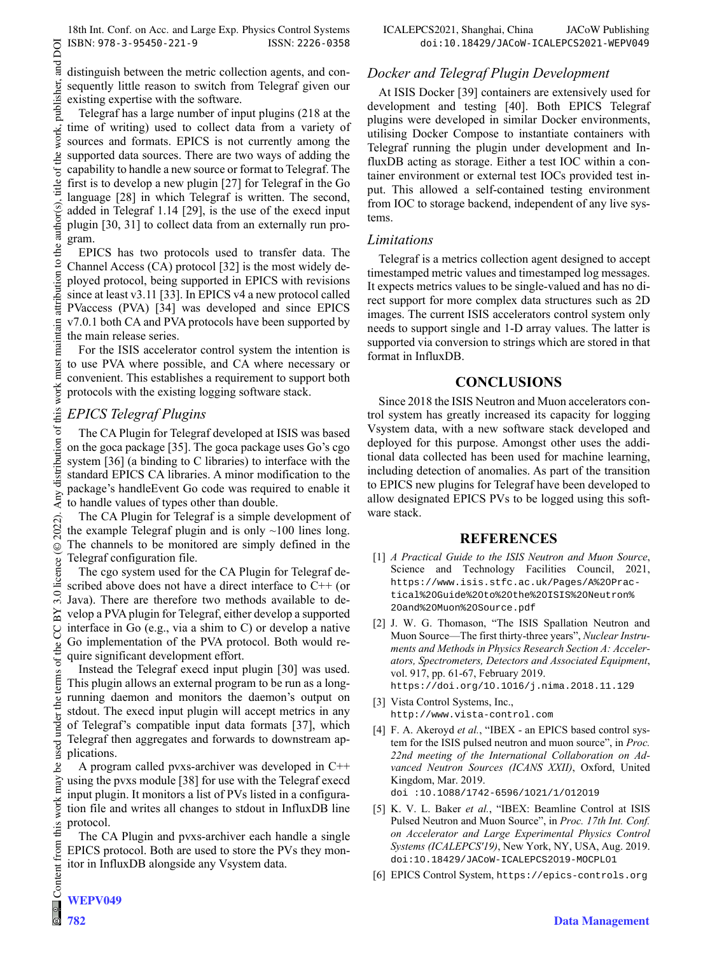distinguish between the metric collection agents, and consequently little reason to switch from Telegraf given our existing expertise with the software.

Telegraf has a large number of input plugins (218 at the time of writing) used to collect data from a variety of sources and formats. EPICS is not currently among the supported data sources. There are two ways of adding the capability to handle a new source or format to Telegraf. The first is to develop a new plugin [27] for Telegraf in the Go language [28] in which Telegraf is written. The second, added in Telegraf 1.14 [29], is the use of the execd input plugin [30, 31] to collect data from an externally run pro-

EPICS has two protocols used to transfer data. The Channel Access (CA) protocol [32] is the most widely deployed protocol, being supported in EPICS with revisions since at least v3.11 [33]. In EPICS v4 a new protocol called PVaccess (PVA) [34] was developed and since EPICS v7.0.1 both CA and PVA protocols have been supported by the main release series.

For the ISIS accelerator control system the intention is to use PVA where possible, and CA where necessary or convenient. This establishes a requirement to support both protocols with the existing logging software stack.

## *EPICS Telegraf Plugins*

The CA Plugin for Telegraf developed at ISIS was based on the goca package [35]. The goca package uses Go's cgo system [36] (a binding to C libraries) to interface with the standard EPICS CA libraries. A minor modification to the package's handleEvent Go code was required to enable it to handle values of types other than double.

The CA Plugin for Telegraf is a simple development of the example Telegraf plugin and is only  $~100$  lines long. The channels to be monitored are simply defined in the Telegraf configuration file.

The cgo system used for the CA Plugin for Telegraf described above does not have a direct interface to C++ (or Java). There are therefore two methods available to develop a PVA plugin for Telegraf, either develop a supported interface in Go (e.g., via a shim to C) or develop a native Go implementation of the PVA protocol. Both would require significant development effort.

Instead the Telegraf execd input plugin [30] was used. This plugin allows an external program to be run as a longrunning daemon and monitors the daemon's output on stdout. The execd input plugin will accept metrics in any of Telegraf's compatible input data formats [37], which Telegraf then aggregates and forwards to downstream applications.

A program called pvxs-archiver was developed in C++ using the pvxs module [38] for use with the Telegraf execd input plugin. It monitors a list of PVs listed in a configuration file and writes all changes to stdout in InfluxDB line protocol.

The CA Plugin and pvxs-archiver each handle a single EPICS protocol. Both are used to store the PVs they monitor in InfluxDB alongside any Vsystem data.

### *Docker and Telegraf Plugin Development*

At ISIS Docker [39] containers are extensively used for development and testing [40]. Both EPICS Telegraf plugins were developed in similar Docker environments, utilising Docker Compose to instantiate containers with Telegraf running the plugin under development and InfluxDB acting as storage. Either a test IOC within a container environment or external test IOCs provided test input. This allowed a self-contained testing environment from IOC to storage backend, independent of any live systems.

#### *Limitations*

Telegraf is a metrics collection agent designed to accept timestamped metric values and timestamped log messages. It expects metrics values to be single-valued and has no direct support for more complex data structures such as 2D images. The current ISIS accelerators control system only needs to support single and 1-D array values. The latter is supported via conversion to strings which are stored in that format in InfluxDB.

### **CONCLUSIONS**

Since 2018 the ISIS Neutron and Muon accelerators control system has greatly increased its capacity for logging Vsystem data, with a new software stack developed and deployed for this purpose. Amongst other uses the additional data collected has been used for machine learning, including detection of anomalies. As part of the transition to EPICS new plugins for Telegraf have been developed to allow designated EPICS PVs to be logged using this software stack.

### **REFERENCES**

- [1] *A Practical Guide to the ISIS Neutron and Muon Source*, Science and Technology Facilities Council, 2021, https://www.isis.stfc.ac.uk/Pages/A%20Practical%20Guide%20to%20the%20ISIS%20Neutron% 20and%20Muon%20Source.pdf
- [2] J. W. G. Thomason, "The ISIS Spallation Neutron and Muon Source—The first thirty-three years", *Nuclear Instruments and Methods in Physics Research Section A: Accelerators, Spectrometers, Detectors and Associated Equipment*, vol. 917, pp. 61-67, February 2019. https://doi.org/10.1016/j.nima.2018.11.129
- [3] Vista Control Systems, Inc., http://www.vista-control.com
- [4] F. A. Akeroyd et al., "IBEX an EPICS based control system for the ISIS pulsed neutron and muon source", in *Proc. 22nd meeting of the International Collaboration on Advanced Neutron Sources (ICANS XXII)*, Oxford, United Kingdom, Mar. 2019. doi :10.1088/1742-6596/1021/1/012019
- [5] K. V. L. Baker *et al.*, "IBEX: Beamline Control at ISIS Pulsed Neutron and Muon Source", in *Proc. 17th Int. Conf. on Accelerator and Large Experimental Physics Control Systems (ICALEPCS'19)*, New York, NY, USA, Aug. 2019. doi:10.18429/JACoW-ICALEPCS2019-MOCPL01
- [6] EPICS Control System, https://epics-controls.org

under

used ತಿ may work this